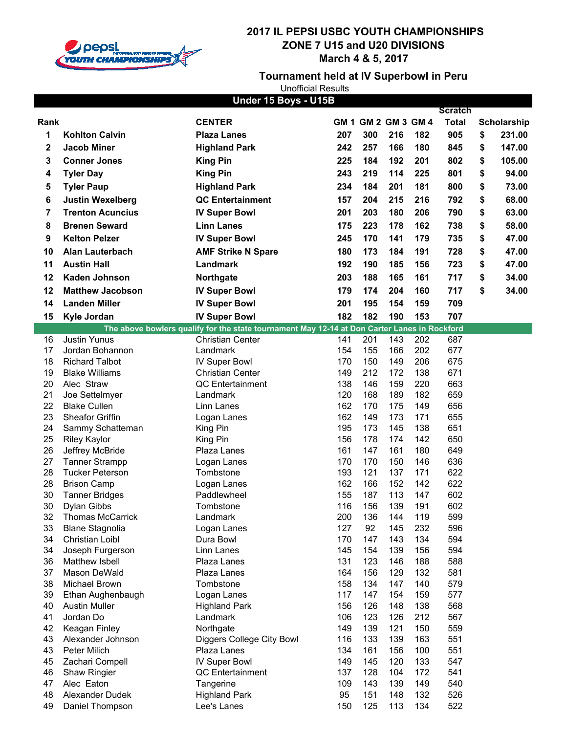

**Tournament held at IV Superbowl in Peru**

|          |                               | Under 15 Boys - U15B                                                                                                    |            |                     |            |            | <b>Scratch</b> |                    |
|----------|-------------------------------|-------------------------------------------------------------------------------------------------------------------------|------------|---------------------|------------|------------|----------------|--------------------|
| Rank     |                               | <b>CENTER</b>                                                                                                           |            | GM 1 GM 2 GM 3 GM 4 |            |            | <b>Total</b>   | <b>Scholarship</b> |
| 1        | <b>Kohlton Calvin</b>         | <b>Plaza Lanes</b>                                                                                                      | 207        | 300                 | 216        | 182        | 905            | \$<br>231.00       |
| 2        | <b>Jacob Miner</b>            | <b>Highland Park</b>                                                                                                    | 242        | 257                 | 166        | 180        | 845            | \$<br>147.00       |
|          |                               |                                                                                                                         |            |                     |            |            |                |                    |
| 3        | <b>Conner Jones</b>           | <b>King Pin</b>                                                                                                         | 225        | 184                 | 192        | 201        | 802            | \$<br>105.00       |
| 4        | <b>Tyler Day</b>              | <b>King Pin</b>                                                                                                         | 243        | 219                 | 114        | 225        | 801            | \$<br>94.00        |
| 5        | <b>Tyler Paup</b>             | <b>Highland Park</b>                                                                                                    | 234        | 184                 | 201        | 181        | 800            | \$<br>73.00        |
| 6        | <b>Justin Wexelberg</b>       | <b>QC Entertainment</b>                                                                                                 | 157        | 204                 | 215        | 216        | 792            | \$<br>68.00        |
| 7        | <b>Trenton Acuncius</b>       | <b>IV Super Bowl</b>                                                                                                    | 201        | 203                 | 180        | 206        | 790            | \$<br>63.00        |
| 8        | <b>Brenen Seward</b>          | <b>Linn Lanes</b>                                                                                                       | 175        | 223                 | 178        | 162        | 738            | \$<br>58.00        |
| 9        | <b>Kelton Pelzer</b>          | <b>IV Super Bowl</b>                                                                                                    | 245        | 170                 | 141        | 179        | 735            | \$<br>47.00        |
| 10       | <b>Alan Lauterbach</b>        | <b>AMF Strike N Spare</b>                                                                                               | 180        | 173                 | 184        | 191        | 728            | \$<br>47.00        |
| 11       | <b>Austin Hall</b>            | Landmark                                                                                                                | 192        | 190                 | 185        | 156        | 723            | \$<br>47.00        |
|          |                               |                                                                                                                         |            |                     |            |            | 717            |                    |
| 12       | <b>Kaden Johnson</b>          | Northgate                                                                                                               | 203        | 188                 | 165        | 161        |                | \$<br>34.00        |
| 12       | <b>Matthew Jacobson</b>       | <b>IV Super Bowl</b>                                                                                                    | 179        | 174                 | 204        | 160        | 717            | \$<br>34.00        |
| 14       | <b>Landen Miller</b>          | <b>IV Super Bowl</b>                                                                                                    | 201        | 195                 | 154        | 159        | 709            |                    |
| 15       | Kyle Jordan                   | <b>IV Super Bowl</b>                                                                                                    | 182        | 182                 | 190        | 153        | 707            |                    |
| 16       | <b>Justin Yunus</b>           | The above bowlers qualify for the state tournament May 12-14 at Don Carter Lanes in Rockford<br><b>Christian Center</b> | 141        | 201                 | 143        | 202        | 687            |                    |
| 17       | Jordan Bohannon               | Landmark                                                                                                                | 154        | 155                 | 166        | 202        | 677            |                    |
| 18       | <b>Richard Talbot</b>         | <b>IV Super Bowl</b>                                                                                                    | 170        | 150                 | 149        | 206        | 675            |                    |
| 19       | <b>Blake Williams</b>         | <b>Christian Center</b>                                                                                                 | 149        | 212                 | 172        | 138        | 671            |                    |
| 20       | Alec Straw                    | <b>QC</b> Entertainment                                                                                                 | 138        | 146                 | 159        | 220        | 663            |                    |
| 21       | Joe Settelmyer                | Landmark                                                                                                                | 120        | 168                 | 189        | 182        | 659            |                    |
| 22       | <b>Blake Cullen</b>           | Linn Lanes                                                                                                              | 162        | 170                 | 175        | 149        | 656            |                    |
| 23       | Sheafor Griffin               | Logan Lanes                                                                                                             | 162        | 149                 | 173        | 171        | 655            |                    |
| 24       | Sammy Schatteman              | King Pin                                                                                                                | 195        | 173                 | 145        | 138        | 651            |                    |
| 25       | <b>Riley Kaylor</b>           | King Pin                                                                                                                | 156        | 178                 | 174        | 142        | 650            |                    |
| 26       | Jeffrey McBride               | Plaza Lanes                                                                                                             | 161        | 147                 | 161        | 180        | 649            |                    |
| 27       | <b>Tanner Strampp</b>         | Logan Lanes                                                                                                             | 170        | 170                 | 150        | 146        | 636            |                    |
| 28       | <b>Tucker Peterson</b>        | Tombstone                                                                                                               | 193        | 121                 | 137        | 171        | 622            |                    |
| 28       | <b>Brison Camp</b>            | Logan Lanes                                                                                                             | 162        | 166                 | 152        | 142        | 622            |                    |
| 30       | <b>Tanner Bridges</b>         | Paddlewheel                                                                                                             | 155        | 187                 | 113        | 147        | 602            |                    |
| 30       | Dylan Gibbs                   | Tombstone                                                                                                               | 116        | 156                 | 139        | 191        | 602            |                    |
| 32       | <b>Thomas McCarrick</b>       | Landmark                                                                                                                | 200        | 136                 | 144        | 119        | 599            |                    |
| 33       | <b>Blane Stagnolia</b>        | Logan Lanes                                                                                                             | 127        | 92                  | 145        | 232        | 596            |                    |
| 34       | Christian Loibl               | Dura Bowl                                                                                                               | 170        | 147                 | 143        | 134        | 594            |                    |
| 34       | Joseph Furgerson              | Linn Lanes                                                                                                              | 145        | 154                 | 139        | 156        | 594            |                    |
| 36       | Matthew Isbell                | Plaza Lanes                                                                                                             | 131        | 123                 | 146        | 188        | 588            |                    |
| 37<br>38 | Mason DeWald<br>Michael Brown | Plaza Lanes<br>Tombstone                                                                                                | 164<br>158 | 156<br>134          | 129<br>147 | 132<br>140 | 581<br>579     |                    |
| 39       | Ethan Aughenbaugh             | Logan Lanes                                                                                                             | 117        | 147                 | 154        | 159        | 577            |                    |
| 40       | <b>Austin Muller</b>          | <b>Highland Park</b>                                                                                                    | 156        | 126                 | 148        | 138        | 568            |                    |
| 41       | Jordan Do                     | Landmark                                                                                                                | 106        | 123                 | 126        | 212        | 567            |                    |
| 42       | Keagan Finley                 | Northgate                                                                                                               | 149        | 139                 | 121        | 150        | 559            |                    |
| 43       | Alexander Johnson             | Diggers College City Bowl                                                                                               | 116        | 133                 | 139        | 163        | 551            |                    |
| 43       | Peter Milich                  | Plaza Lanes                                                                                                             | 134        | 161                 | 156        | 100        | 551            |                    |
| 45       | Zachari Compell               | <b>IV Super Bowl</b>                                                                                                    | 149        | 145                 | 120        | 133        | 547            |                    |
| 46       | Shaw Ringier                  | QC Entertainment                                                                                                        | 137        | 128                 | 104        | 172        | 541            |                    |
| 47       | Alec Eaton                    | Tangerine                                                                                                               | 109        | 143                 | 139        | 149        | 540            |                    |
| 48       | Alexander Dudek               | <b>Highland Park</b>                                                                                                    | 95         | 151                 | 148        | 132        | 526            |                    |
| 49       | Daniel Thompson               | Lee's Lanes                                                                                                             | 150        | 125                 | 113        | 134        | 522            |                    |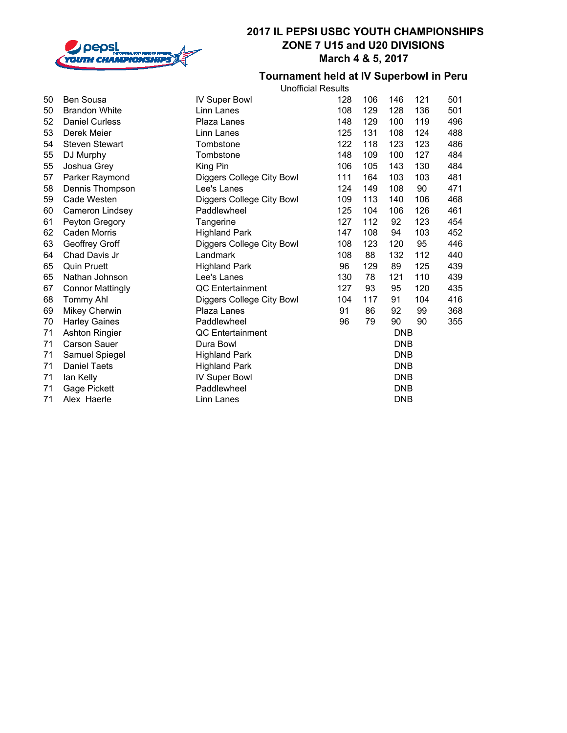

#### **Tournament held at IV Superbowl in Peru** Unofficial Results

|    |                         | υπυπισαι ποσαπο           |     |     |            |     |     |
|----|-------------------------|---------------------------|-----|-----|------------|-----|-----|
| 50 | Ben Sousa               | <b>IV Super Bowl</b>      | 128 | 106 | 146        | 121 | 501 |
| 50 | <b>Brandon White</b>    | Linn Lanes                | 108 | 129 | 128        | 136 | 501 |
| 52 | <b>Daniel Curless</b>   | Plaza Lanes               | 148 | 129 | 100        | 119 | 496 |
| 53 | Derek Meier             | Linn Lanes                | 125 | 131 | 108        | 124 | 488 |
| 54 | <b>Steven Stewart</b>   | Tombstone                 | 122 | 118 | 123        | 123 | 486 |
| 55 | DJ Murphy               | Tombstone                 | 148 | 109 | 100        | 127 | 484 |
| 55 | Joshua Grey             | King Pin                  | 106 | 105 | 143        | 130 | 484 |
| 57 | Parker Raymond          | Diggers College City Bowl | 111 | 164 | 103        | 103 | 481 |
| 58 | Dennis Thompson         | Lee's Lanes               | 124 | 149 | 108        | 90  | 471 |
| 59 | Cade Westen             | Diggers College City Bowl | 109 | 113 | 140        | 106 | 468 |
| 60 | Cameron Lindsey         | Paddlewheel               | 125 | 104 | 106        | 126 | 461 |
| 61 | Peyton Gregory          | Tangerine                 | 127 | 112 | 92         | 123 | 454 |
| 62 | Caden Morris            | <b>Highland Park</b>      | 147 | 108 | 94         | 103 | 452 |
| 63 | Geoffrey Groff          | Diggers College City Bowl | 108 | 123 | 120        | 95  | 446 |
| 64 | Chad Davis Jr           | Landmark                  | 108 | 88  | 132        | 112 | 440 |
| 65 | <b>Quin Pruett</b>      | <b>Highland Park</b>      | 96  | 129 | 89         | 125 | 439 |
| 65 | Nathan Johnson          | Lee's Lanes               | 130 | 78  | 121        | 110 | 439 |
| 67 | <b>Connor Mattingly</b> | QC Entertainment          | 127 | 93  | 95         | 120 | 435 |
| 68 | <b>Tommy Ahl</b>        | Diggers College City Bowl | 104 | 117 | 91         | 104 | 416 |
| 69 | <b>Mikey Cherwin</b>    | Plaza Lanes               | 91  | 86  | 92         | 99  | 368 |
| 70 | <b>Harley Gaines</b>    | Paddlewheel               | 96  | 79  | 90         | 90  | 355 |
| 71 | <b>Ashton Ringier</b>   | <b>QC</b> Entertainment   |     |     | <b>DNB</b> |     |     |
| 71 | <b>Carson Sauer</b>     | Dura Bowl                 |     |     | <b>DNB</b> |     |     |
| 71 | Samuel Spiegel          | <b>Highland Park</b>      |     |     | <b>DNB</b> |     |     |
| 71 | <b>Daniel Taets</b>     | <b>Highland Park</b>      |     |     | <b>DNB</b> |     |     |
| 71 | lan Kelly               | <b>IV Super Bowl</b>      |     |     | <b>DNB</b> |     |     |
| 71 | Gage Pickett            | Paddlewheel               |     |     | <b>DNB</b> |     |     |
| 71 | Alex Haerle             | Linn Lanes                |     |     | <b>DNB</b> |     |     |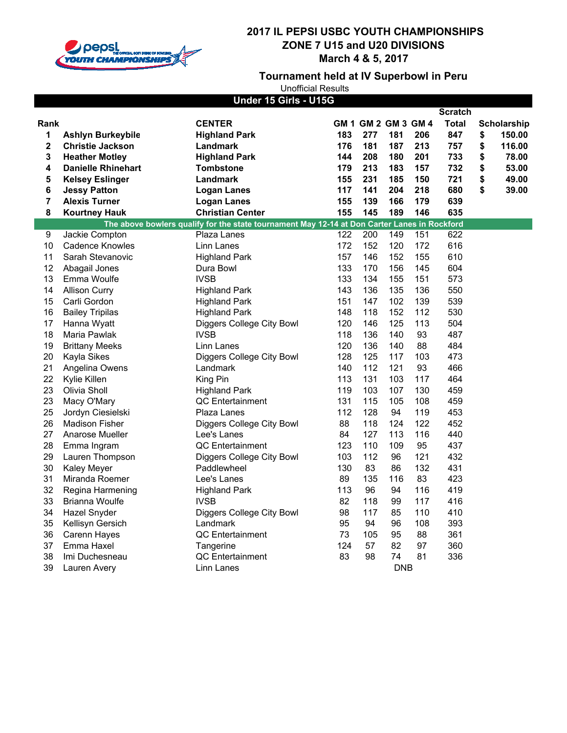

**Tournament held at IV Superbowl in Peru**

| Under 15 Girls - U15G   |                           |                                                                                              |     |                     |            |     |                |    |                    |
|-------------------------|---------------------------|----------------------------------------------------------------------------------------------|-----|---------------------|------------|-----|----------------|----|--------------------|
|                         |                           |                                                                                              |     |                     |            |     | <b>Scratch</b> |    |                    |
| Rank                    |                           | <b>CENTER</b>                                                                                |     | GM 1 GM 2 GM 3 GM 4 |            |     | Total          |    | <b>Scholarship</b> |
| 1                       | <b>Ashlyn Burkeybile</b>  | <b>Highland Park</b>                                                                         | 183 | 277                 | 181        | 206 | 847            | \$ | 150.00             |
| $\mathbf 2$             | <b>Christie Jackson</b>   | Landmark                                                                                     | 176 | 181                 | 187        | 213 | 757            | \$ | 116.00             |
| 3                       | <b>Heather Motley</b>     | <b>Highland Park</b>                                                                         | 144 | 208                 | 180        | 201 | 733            | \$ | 78.00              |
| 4                       | <b>Danielle Rhinehart</b> | Tombstone                                                                                    | 179 | 213                 | 183        | 157 | 732            | \$ | 53.00              |
| 5                       | <b>Kelsey Eslinger</b>    | Landmark                                                                                     | 155 | 231                 | 185        | 150 | 721            | \$ | 49.00              |
| 6                       | <b>Jessy Patton</b>       | <b>Logan Lanes</b>                                                                           | 117 | 141                 | 204        | 218 | 680            | \$ | 39.00              |
| $\overline{\mathbf{r}}$ | <b>Alexis Turner</b>      | <b>Logan Lanes</b>                                                                           | 155 | 139                 | 166        | 179 | 639            |    |                    |
| 8                       | <b>Kourtney Hauk</b>      | <b>Christian Center</b>                                                                      | 155 | 145                 | 189        | 146 | 635            |    |                    |
|                         |                           | The above bowlers qualify for the state tournament May 12-14 at Don Carter Lanes in Rockford |     |                     |            |     |                |    |                    |
| 9                       | Jackie Compton            | Plaza Lanes                                                                                  | 122 | 200                 | 149        | 151 | 622            |    |                    |
| 10                      | <b>Cadence Knowles</b>    | Linn Lanes                                                                                   | 172 | 152                 | 120        | 172 | 616            |    |                    |
| 11                      | Sarah Stevanovic          | Highland Park                                                                                | 157 | 146                 | 152        | 155 | 610            |    |                    |
| 12                      | Abagail Jones             | Dura Bowl                                                                                    | 133 | 170                 | 156        | 145 | 604            |    |                    |
| 13                      | Emma Woulfe               | <b>IVSB</b>                                                                                  | 133 | 134                 | 155        | 151 | 573            |    |                    |
| 14                      | <b>Allison Curry</b>      | <b>Highland Park</b>                                                                         | 143 | 136                 | 135        | 136 | 550            |    |                    |
| 15                      | Carli Gordon              | <b>Highland Park</b>                                                                         | 151 | 147                 | 102        | 139 | 539            |    |                    |
| 16                      | <b>Bailey Tripilas</b>    | <b>Highland Park</b>                                                                         | 148 | 118                 | 152        | 112 | 530            |    |                    |
| 17                      | Hanna Wyatt               | Diggers College City Bowl                                                                    | 120 | 146                 | 125        | 113 | 504            |    |                    |
| 18                      | Maria Pawlak              | <b>IVSB</b>                                                                                  | 118 | 136                 | 140        | 93  | 487            |    |                    |
| 19                      | <b>Brittany Meeks</b>     | Linn Lanes                                                                                   | 120 | 136                 | 140        | 88  | 484            |    |                    |
| 20                      | Kayla Sikes               | Diggers College City Bowl                                                                    | 128 | 125                 | 117        | 103 | 473            |    |                    |
| 21                      | Angelina Owens            | Landmark                                                                                     | 140 | 112                 | 121        | 93  | 466            |    |                    |
| 22                      | Kylie Killen              | King Pin                                                                                     | 113 | 131                 | 103        | 117 | 464            |    |                    |
| 23                      | Olivia Sholl              | <b>Highland Park</b>                                                                         | 119 | 103                 | 107        | 130 | 459            |    |                    |
| 23                      | Macy O'Mary               | QC Entertainment                                                                             | 131 | 115                 | 105        | 108 | 459            |    |                    |
| 25                      | Jordyn Ciesielski         | Plaza Lanes                                                                                  | 112 | 128                 | 94         | 119 | 453            |    |                    |
| 26                      | <b>Madison Fisher</b>     | Diggers College City Bowl                                                                    | 88  | 118                 | 124        | 122 | 452            |    |                    |
| 27                      | Anarose Mueller           | Lee's Lanes                                                                                  | 84  | 127                 | 113        | 116 | 440            |    |                    |
| 28                      | Emma Ingram               | <b>QC</b> Entertainment                                                                      | 123 | 110                 | 109        | 95  | 437            |    |                    |
| 29                      | Lauren Thompson           | Diggers College City Bowl                                                                    | 103 | 112                 | 96         | 121 | 432            |    |                    |
| 30                      | Kaley Meyer               | Paddlewheel                                                                                  | 130 | 83                  | 86         | 132 | 431            |    |                    |
| 31                      | Miranda Roemer            | Lee's Lanes                                                                                  | 89  | 135                 | 116        | 83  | 423            |    |                    |
| 32                      | Regina Harmening          | <b>Highland Park</b>                                                                         | 113 | 96                  | 94         | 116 | 419            |    |                    |
| 33                      | Brianna Woulfe            | <b>IVSB</b>                                                                                  | 82  | 118                 | 99         | 117 | 416            |    |                    |
| 34                      | Hazel Snyder              | Diggers College City Bowl                                                                    | 98  | 117                 | 85         | 110 | 410            |    |                    |
| 35                      | Kellisyn Gersich          | Landmark                                                                                     | 95  | 94                  | 96         | 108 | 393            |    |                    |
| 36                      | Carenn Hayes              | QC Entertainment                                                                             | 73  | 105                 | 95         | 88  | 361            |    |                    |
| 37                      | Emma Haxel                | Tangerine                                                                                    | 124 | 57                  | 82         | 97  | 360            |    |                    |
| 38                      | Imi Duchesneau            | <b>QC</b> Entertainment                                                                      | 83  | 98                  | 74         | 81  | 336            |    |                    |
| 39                      | Lauren Avery              | Linn Lanes                                                                                   |     |                     | <b>DNB</b> |     |                |    |                    |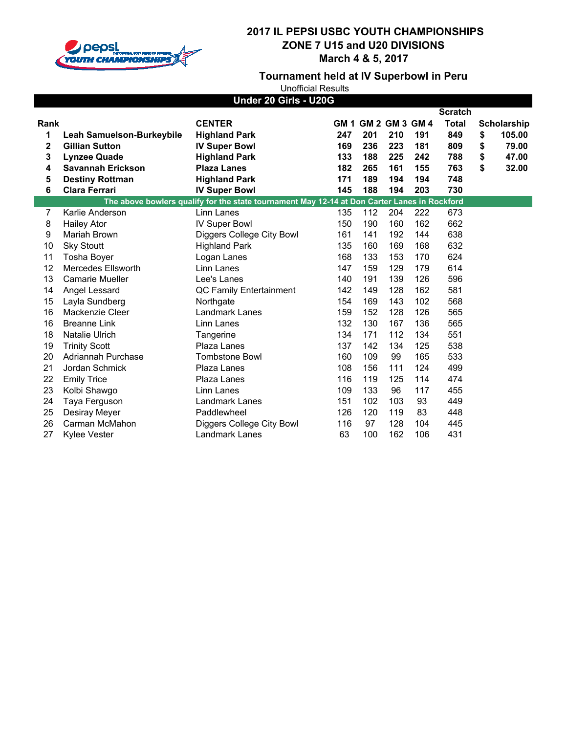

**Tournament held at IV Superbowl in Peru**

|             | Under 20 Girls - U20G            |                                                                                              |      |     |                       |     |                |    |             |
|-------------|----------------------------------|----------------------------------------------------------------------------------------------|------|-----|-----------------------|-----|----------------|----|-------------|
|             |                                  |                                                                                              |      |     |                       |     | <b>Scratch</b> |    |             |
| Rank        |                                  | <b>CENTER</b>                                                                                | GM 1 |     | <b>GM 2 GM 3 GM 4</b> |     | <b>Total</b>   |    | Scholarship |
| 1           | <b>Leah Samuelson-Burkeybile</b> | <b>Highland Park</b>                                                                         | 247  | 201 | 210                   | 191 | 849            | \$ | 105.00      |
| $\mathbf 2$ | <b>Gillian Sutton</b>            | <b>IV Super Bowl</b>                                                                         | 169  | 236 | 223                   | 181 | 809            | \$ | 79.00       |
| 3           | <b>Lynzee Quade</b>              | <b>Highland Park</b>                                                                         | 133  | 188 | 225                   | 242 | 788            | \$ | 47.00       |
| 4           | <b>Savannah Erickson</b>         | <b>Plaza Lanes</b>                                                                           | 182  | 265 | 161                   | 155 | 763            | \$ | 32.00       |
| 5           | <b>Destiny Rottman</b>           | <b>Highland Park</b>                                                                         | 171  | 189 | 194                   | 194 | 748            |    |             |
| 6           | <b>Clara Ferrari</b>             | <b>IV Super Bowl</b>                                                                         | 145  | 188 | 194                   | 203 | 730            |    |             |
|             |                                  | The above bowlers qualify for the state tournament May 12-14 at Don Carter Lanes in Rockford |      |     |                       |     |                |    |             |
| 7           | Karlie Anderson                  | Linn Lanes                                                                                   | 135  | 112 | 204                   | 222 | 673            |    |             |
| 8           | <b>Hailey Ator</b>               | <b>IV Super Bowl</b>                                                                         | 150  | 190 | 160                   | 162 | 662            |    |             |
| 9           | Mariah Brown                     | Diggers College City Bowl                                                                    | 161  | 141 | 192                   | 144 | 638            |    |             |
| 10          | <b>Sky Stoutt</b>                | <b>Highland Park</b>                                                                         | 135  | 160 | 169                   | 168 | 632            |    |             |
| 11          | Tosha Boyer                      | Logan Lanes                                                                                  | 168  | 133 | 153                   | 170 | 624            |    |             |
| 12          | Mercedes Ellsworth               | Linn Lanes                                                                                   | 147  | 159 | 129                   | 179 | 614            |    |             |
| 13          | Camarie Mueller                  | Lee's Lanes                                                                                  | 140  | 191 | 139                   | 126 | 596            |    |             |
| 14          | Angel Lessard                    | QC Family Entertainment                                                                      | 142  | 149 | 128                   | 162 | 581            |    |             |
| 15          | Layla Sundberg                   | Northgate                                                                                    | 154  | 169 | 143                   | 102 | 568            |    |             |
| 16          | Mackenzie Cleer                  | Landmark Lanes                                                                               | 159  | 152 | 128                   | 126 | 565            |    |             |
| 16          | <b>Breanne Link</b>              | Linn Lanes                                                                                   | 132  | 130 | 167                   | 136 | 565            |    |             |
| 18          | Natalie Ulrich                   | Tangerine                                                                                    | 134  | 171 | 112                   | 134 | 551            |    |             |
| 19          | <b>Trinity Scott</b>             | Plaza Lanes                                                                                  | 137  | 142 | 134                   | 125 | 538            |    |             |
| 20          | Adriannah Purchase               | <b>Tombstone Bowl</b>                                                                        | 160  | 109 | 99                    | 165 | 533            |    |             |
| 21          | Jordan Schmick                   | Plaza Lanes                                                                                  | 108  | 156 | 111                   | 124 | 499            |    |             |
| 22          | <b>Emily Trice</b>               | Plaza Lanes                                                                                  | 116  | 119 | 125                   | 114 | 474            |    |             |
| 23          | Kolbi Shawgo                     | Linn Lanes                                                                                   | 109  | 133 | 96                    | 117 | 455            |    |             |
| 24          | Taya Ferguson                    | Landmark Lanes                                                                               | 151  | 102 | 103                   | 93  | 449            |    |             |
| 25          | Desiray Meyer                    | Paddlewheel                                                                                  | 126  | 120 | 119                   | 83  | 448            |    |             |
| 26          | Carman McMahon                   | Diggers College City Bowl                                                                    | 116  | 97  | 128                   | 104 | 445            |    |             |
| 27          | <b>Kylee Vester</b>              | Landmark Lanes                                                                               | 63   | 100 | 162                   | 106 | 431            |    |             |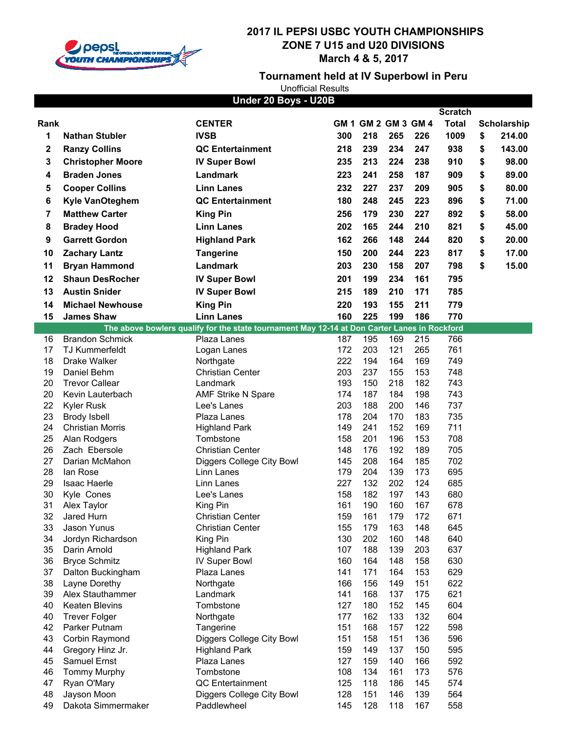

**Tournament held at IV Superbowl in Peru**

| Under 20 Boys - U20B<br><b>Scratch</b> |                                   |                                                                                              |            |            |                     |            |              |    |             |
|----------------------------------------|-----------------------------------|----------------------------------------------------------------------------------------------|------------|------------|---------------------|------------|--------------|----|-------------|
| Rank                                   |                                   | <b>CENTER</b>                                                                                |            |            | GM 1 GM 2 GM 3 GM 4 |            | <b>Total</b> |    | Scholarship |
| 1                                      | <b>Nathan Stubler</b>             | <b>IVSB</b>                                                                                  | 300        | 218        | 265                 | 226        | 1009         | \$ | 214.00      |
|                                        |                                   |                                                                                              |            |            |                     |            |              |    |             |
| 2                                      | <b>Ranzy Collins</b>              | <b>QC Entertainment</b>                                                                      | 218        | 239        | 234                 | 247        | 938          | \$ | 143.00      |
| 3                                      | <b>Christopher Moore</b>          | <b>IV Super Bowl</b>                                                                         | 235        | 213        | 224                 | 238        | 910          | \$ | 98.00       |
| 4                                      | <b>Braden Jones</b>               | Landmark                                                                                     | 223        | 241        | 258                 | 187        | 909          | \$ | 89.00       |
| 5                                      | <b>Cooper Collins</b>             | <b>Linn Lanes</b>                                                                            | 232        | 227        | 237                 | 209        | 905          | \$ | 80.00       |
| 6                                      | Kyle VanOteghem                   | <b>QC Entertainment</b>                                                                      | 180        | 248        | 245                 | 223        | 896          | \$ | 71.00       |
| 7                                      | <b>Matthew Carter</b>             | <b>King Pin</b>                                                                              | 256        | 179        | 230                 | 227        | 892          | \$ | 58.00       |
| 8                                      | <b>Bradey Hood</b>                | <b>Linn Lanes</b>                                                                            | 202        | 165        | 244                 | 210        | 821          | \$ | 45.00       |
| 9                                      | <b>Garrett Gordon</b>             | <b>Highland Park</b>                                                                         | 162        | 266        | 148                 | 244        | 820          | \$ | 20.00       |
|                                        |                                   |                                                                                              |            |            |                     |            |              |    |             |
| 10                                     | <b>Zachary Lantz</b>              | <b>Tangerine</b>                                                                             | 150        | 200        | 244                 | 223        | 817          | \$ | 17.00       |
| 11                                     | <b>Bryan Hammond</b>              | Landmark                                                                                     | 203        | 230        | 158                 | 207        | 798          | \$ | 15.00       |
| 12                                     | <b>Shaun DesRocher</b>            | <b>IV Super Bowl</b>                                                                         | 201        | 199        | 234                 | 161        | 795          |    |             |
| 13                                     | <b>Austin Snider</b>              | <b>IV Super Bowl</b>                                                                         | 215        | 189        | 210                 | 171        | 785          |    |             |
| 14                                     | <b>Michael Newhouse</b>           | <b>King Pin</b>                                                                              | 220        | 193        | 155                 | 211        | 779          |    |             |
| 15                                     | <b>James Shaw</b>                 | <b>Linn Lanes</b>                                                                            | 160        | 225        | 199                 | 186        | 770          |    |             |
|                                        |                                   | The above bowlers qualify for the state tournament May 12-14 at Don Carter Lanes in Rockford |            |            |                     |            |              |    |             |
| 16                                     | <b>Brandon Schmick</b>            | Plaza Lanes                                                                                  | 187        | 195        | 169                 | 215        | 766          |    |             |
| 17                                     | <b>TJ Kummerfeldt</b>             | Logan Lanes                                                                                  | 172        | 203        | 121                 | 265        | 761          |    |             |
| 18                                     | Drake Walker                      | Northgate                                                                                    | 222        | 194        | 164                 | 169        | 749          |    |             |
| 19                                     | Daniel Behm                       | <b>Christian Center</b>                                                                      | 203        | 237        | 155                 | 153        | 748          |    |             |
| 20                                     | <b>Trevor Callear</b>             | Landmark                                                                                     | 193        | 150        | 218                 | 182        | 743          |    |             |
| 20                                     | Kevin Lauterbach                  | <b>AMF Strike N Spare</b>                                                                    | 174        | 187        | 184                 | 198        | 743          |    |             |
| 22                                     | <b>Kyler Rusk</b>                 | Lee's Lanes                                                                                  | 203        | 188        | 200                 | 146        | 737          |    |             |
| 23                                     | <b>Brody Isbell</b>               | Plaza Lanes                                                                                  | 178        | 204        | 170                 | 183        | 735          |    |             |
| 24                                     | <b>Christian Morris</b>           | <b>Highland Park</b>                                                                         | 149        | 241        | 152                 | 169        | 711          |    |             |
| 25                                     | Alan Rodgers                      | Tombstone                                                                                    | 158        | 201        | 196                 | 153        | 708          |    |             |
| 26                                     | Zach Ebersole                     | <b>Christian Center</b>                                                                      | 148        | 176        | 192                 | 189        | 705          |    |             |
| 27                                     | Darian McMahon                    | Diggers College City Bowl                                                                    | 145        | 208        | 164                 | 185        | 702          |    |             |
| 28                                     | lan Rose                          | Linn Lanes                                                                                   | 179        | 204        | 139                 | 173        | 695          |    |             |
| 29                                     | <b>Isaac Haerle</b>               | Linn Lanes                                                                                   | 227        | 132        | 202                 | 124        | 685          |    |             |
| 30                                     | Kyle Cones                        | Lee's Lanes                                                                                  | 158        | 182        | 197                 | 143        | 680          |    |             |
| 31                                     | Alex Taylor                       | King Pin                                                                                     | 161        | 190        | 160                 | 167        | 678          |    |             |
| 32                                     | Jared Hurn                        | <b>Christian Center</b>                                                                      | 159        | 161        | 179                 | 172        | 671          |    |             |
| 33                                     | Jason Yunus                       | <b>Christian Center</b>                                                                      | 155<br>130 | 179        | 163<br>160          | 148<br>148 | 645          |    |             |
| 34<br>35                               | Jordyn Richardson<br>Darin Arnold | King Pin<br><b>Highland Park</b>                                                             | 107        | 202<br>188 | 139                 | 203        | 640<br>637   |    |             |
| 36                                     | <b>Bryce Schmitz</b>              | <b>IV Super Bowl</b>                                                                         | 160        | 164        | 148                 | 158        | 630          |    |             |
| 37                                     | Dalton Buckingham                 | Plaza Lanes                                                                                  | 141        | 171        | 164                 | 153        | 629          |    |             |
| 38                                     | Layne Dorethy                     | Northgate                                                                                    | 166        | 156        | 149                 | 151        | 622          |    |             |
| 39                                     | Alex Stauthammer                  | Landmark                                                                                     | 141        | 168        | 137                 | 175        | 621          |    |             |
| 40                                     | Keaten Blevins                    | Tombstone                                                                                    | 127        | 180        | 152                 | 145        | 604          |    |             |
| 40                                     | <b>Trever Folger</b>              | Northgate                                                                                    | 177        | 162        | 133                 | 132        | 604          |    |             |
| 42                                     | Parker Putnam                     | Tangerine                                                                                    | 151        | 168        | 157                 | 122        | 598          |    |             |
| 43                                     | Corbin Raymond                    | Diggers College City Bowl                                                                    | 151        | 158        | 151                 | 136        | 596          |    |             |
| 44                                     | Gregory Hinz Jr.                  | <b>Highland Park</b>                                                                         | 159        | 149        | 137                 | 150        | 595          |    |             |
| 45                                     | Samuel Ernst                      | Plaza Lanes                                                                                  | 127        | 159        | 140                 | 166        | 592          |    |             |
| 46                                     | <b>Tommy Murphy</b>               | Tombstone                                                                                    | 108        | 134        | 161                 | 173        | 576          |    |             |
| 47                                     | Ryan O'Mary                       | QC Entertainment                                                                             | 125        | 118        | 186                 | 145        | 574          |    |             |
| 48                                     | Jayson Moon                       | Diggers College City Bowl                                                                    | 128        | 151        | 146                 | 139        | 564          |    |             |
| 49                                     | Dakota Simmermaker                | Paddlewheel                                                                                  | 145        | 128        | 118                 | 167        | 558          |    |             |
|                                        |                                   |                                                                                              |            |            |                     |            |              |    |             |